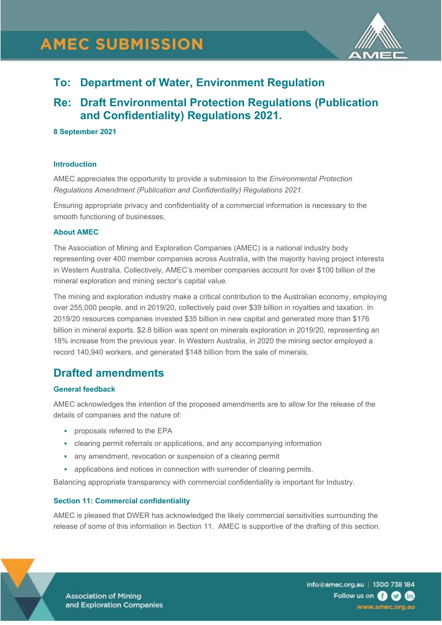

# **To: Department of Water, Environment Regulation**

# **Re: Draft Environmental Protection Regulations (Publication and Confidentiality) Regulations 2021.**

## **8 September 2021**

#### **Introduction**

AMEC appreciates the opportunity to provide a submission to the *Environmental Protection Regulations Amendment (Publication and Confidentiality) Regulations 2021.*

Ensuring appropriate privacy and confidentiality of a commercial information is necessary to the smooth functioning of businesses.

#### **About AMEC**

The Association of Mining and Exploration Companies (AMEC) is a national industry body representing over 400 member companies across Australia, with the majority having project interests in Western Australia. Collectively, AMEC's member companies account for over \$100 billion of the mineral exploration and mining sector's capital value.

The mining and exploration industry make a critical contribution to the Australian economy, employing over 255,000 people, and in 2019/20, collectively paid over \$39 billion in royalties and taxation. In 2019/20 resources companies invested \$35 billion in new capital and generated more than \$176 billion in mineral exports. \$2.8 billion was spent on minerals exploration in 2019/20, representing an 18% increase from the previous year. In Western Australia, in 2020 the mining sector employed a record 140,940 workers, and generated \$148 billion from the sale of minerals.

# **Drafted amendments**

## **General feedback**

AMEC acknowledges the intention of the proposed amendments are to allow for the release of the details of companies and the nature of:

- **•** proposals referred to the EPA
- clearing permit referrals or applications, and any accompanying information
- **any amendment, revocation or suspension of a clearing permit**
- **applications and notices in connection with surrender of clearing permits.**

Balancing appropriate transparency with commercial confidentiality is important for Industry.

## **Section 11: Commercial confidentiality**

AMEC is pleased that DWER has acknowledged the likely commercial sensitivities surrounding the release of some of this information in Section 11. AMEC is supportive of the drafting of this section.



**Association of Mining** and Exploration Companies info@amec.org.au | 1300 738 184 Follow us on **8 0 m** www.amec.org.au